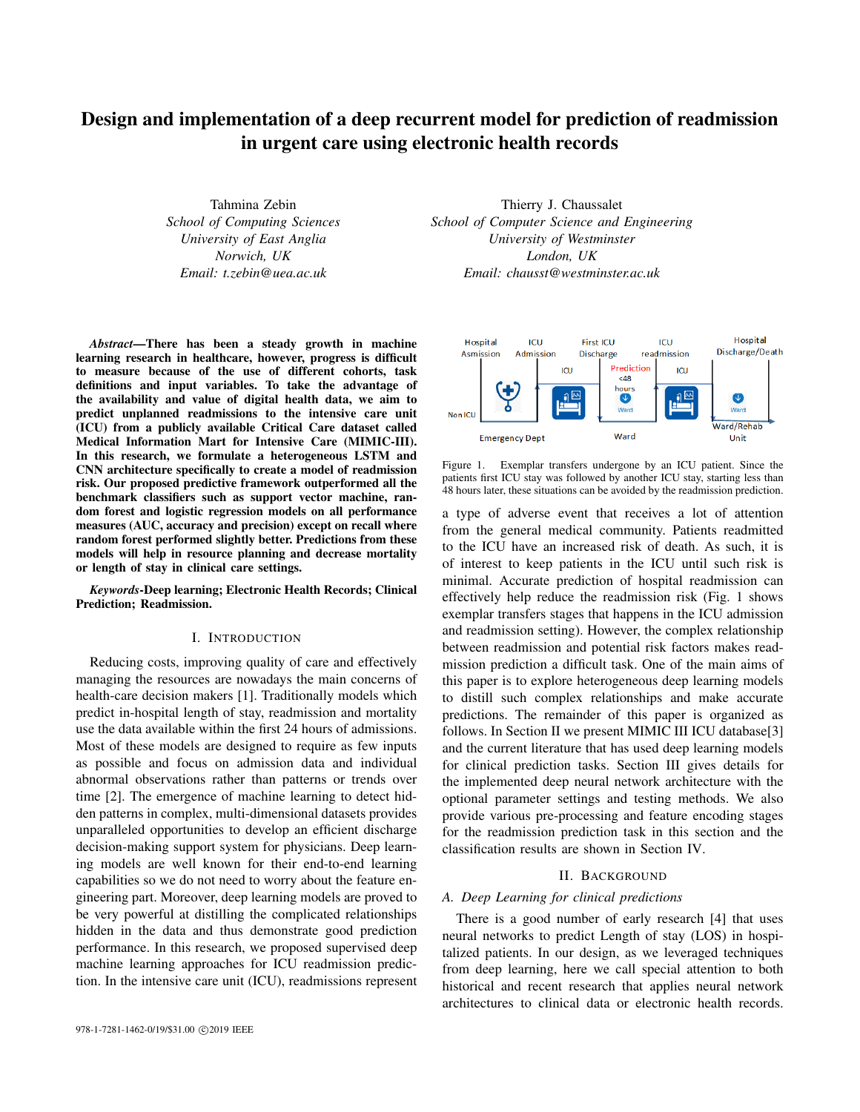# Design and implementation of a deep recurrent model for prediction of readmission in urgent care using electronic health records

Tahmina Zebin *School of Computing Sciences University of East Anglia Norwich, UK Email: t.zebin@uea.ac.uk*

*Abstract*—There has been a steady growth in machine learning research in healthcare, however, progress is difficult to measure because of the use of different cohorts, task definitions and input variables. To take the advantage of the availability and value of digital health data, we aim to predict unplanned readmissions to the intensive care unit (ICU) from a publicly available Critical Care dataset called Medical Information Mart for Intensive Care (MIMIC-III). In this research, we formulate a heterogeneous LSTM and CNN architecture specifically to create a model of readmission risk. Our proposed predictive framework outperformed all the benchmark classifiers such as support vector machine, random forest and logistic regression models on all performance measures (AUC, accuracy and precision) except on recall where random forest performed slightly better. Predictions from these models will help in resource planning and decrease mortality or length of stay in clinical care settings.

*Keywords*-Deep learning; Electronic Health Records; Clinical Prediction; Readmission.

### I. INTRODUCTION

Reducing costs, improving quality of care and effectively managing the resources are nowadays the main concerns of health-care decision makers [1]. Traditionally models which predict in-hospital length of stay, readmission and mortality use the data available within the first 24 hours of admissions. Most of these models are designed to require as few inputs as possible and focus on admission data and individual abnormal observations rather than patterns or trends over time [2]. The emergence of machine learning to detect hidden patterns in complex, multi-dimensional datasets provides unparalleled opportunities to develop an efficient discharge decision-making support system for physicians. Deep learning models are well known for their end-to-end learning capabilities so we do not need to worry about the feature engineering part. Moreover, deep learning models are proved to be very powerful at distilling the complicated relationships hidden in the data and thus demonstrate good prediction performance. In this research, we proposed supervised deep machine learning approaches for ICU readmission prediction. In the intensive care unit (ICU), readmissions represent

Thierry J. Chaussalet *School of Computer Science and Engineering University of Westminster London, UK Email: chausst@westminster.ac.uk*



Figure 1. Exemplar transfers undergone by an ICU patient. Since the patients first ICU stay was followed by another ICU stay, starting less than 48 hours later, these situations can be avoided by the readmission prediction.

a type of adverse event that receives a lot of attention from the general medical community. Patients readmitted to the ICU have an increased risk of death. As such, it is of interest to keep patients in the ICU until such risk is minimal. Accurate prediction of hospital readmission can effectively help reduce the readmission risk (Fig. 1 shows exemplar transfers stages that happens in the ICU admission and readmission setting). However, the complex relationship between readmission and potential risk factors makes readmission prediction a difficult task. One of the main aims of this paper is to explore heterogeneous deep learning models to distill such complex relationships and make accurate predictions. The remainder of this paper is organized as follows. In Section II we present MIMIC III ICU database[3] and the current literature that has used deep learning models for clinical prediction tasks. Section III gives details for the implemented deep neural network architecture with the optional parameter settings and testing methods. We also provide various pre-processing and feature encoding stages for the readmission prediction task in this section and the classification results are shown in Section IV.

## II. BACKGROUND

### *A. Deep Learning for clinical predictions*

There is a good number of early research [4] that uses neural networks to predict Length of stay (LOS) in hospitalized patients. In our design, as we leveraged techniques from deep learning, here we call special attention to both historical and recent research that applies neural network architectures to clinical data or electronic health records.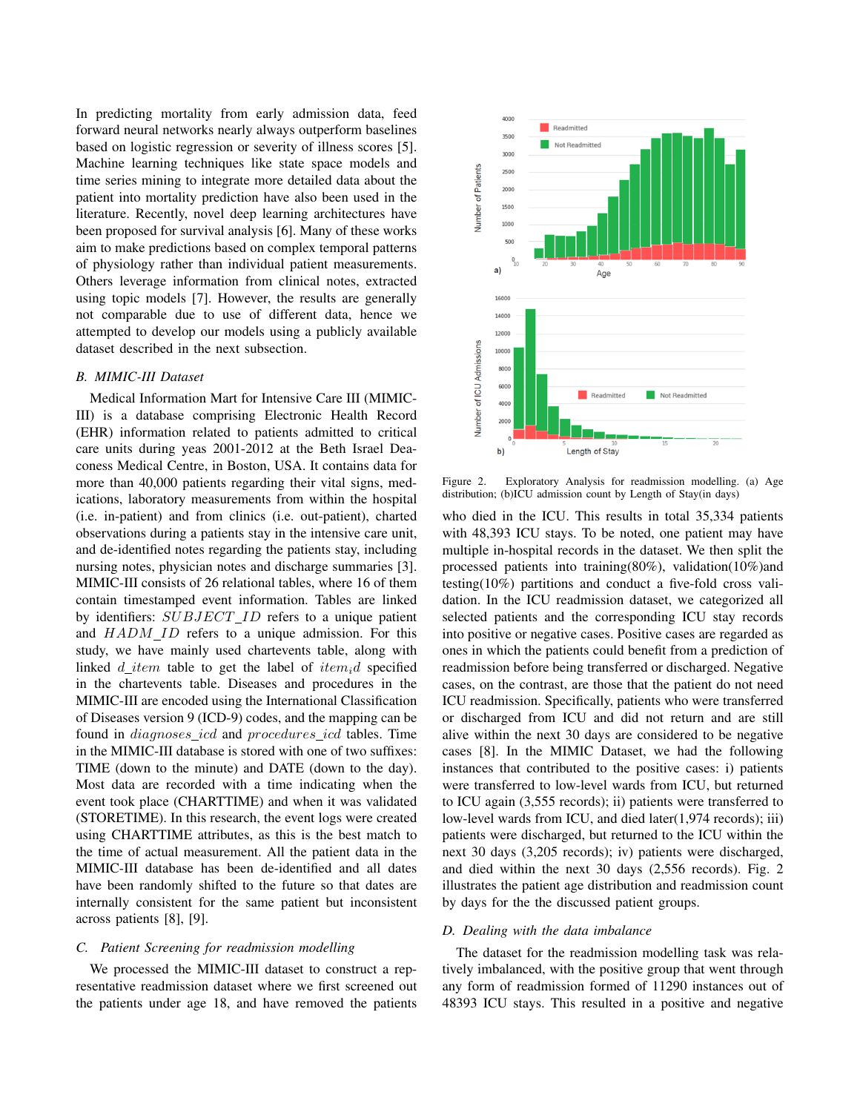In predicting mortality from early admission data, feed forward neural networks nearly always outperform baselines based on logistic regression or severity of illness scores [5]. Machine learning techniques like state space models and time series mining to integrate more detailed data about the patient into mortality prediction have also been used in the literature. Recently, novel deep learning architectures have been proposed for survival analysis [6]. Many of these works aim to make predictions based on complex temporal patterns of physiology rather than individual patient measurements. Others leverage information from clinical notes, extracted using topic models [7]. However, the results are generally not comparable due to use of different data, hence we attempted to develop our models using a publicly available dataset described in the next subsection.

### *B. MIMIC-III Dataset*

Medical Information Mart for Intensive Care III (MIMIC-III) is a database comprising Electronic Health Record (EHR) information related to patients admitted to critical care units during yeas 2001-2012 at the Beth Israel Deaconess Medical Centre, in Boston, USA. It contains data for more than 40,000 patients regarding their vital signs, medications, laboratory measurements from within the hospital (i.e. in-patient) and from clinics (i.e. out-patient), charted observations during a patients stay in the intensive care unit, and de-identified notes regarding the patients stay, including nursing notes, physician notes and discharge summaries [3]. MIMIC-III consists of 26 relational tables, where 16 of them contain timestamped event information. Tables are linked by identifiers:  $SUBJECT\_ID$  refers to a unique patient and HADM ID refers to a unique admission. For this study, we have mainly used chartevents table, along with linked d item table to get the label of  $item_i d$  specified in the chartevents table. Diseases and procedures in the MIMIC-III are encoded using the International Classification of Diseases version 9 (ICD-9) codes, and the mapping can be found in diagnoses icd and procedures icd tables. Time in the MIMIC-III database is stored with one of two suffixes: TIME (down to the minute) and DATE (down to the day). Most data are recorded with a time indicating when the event took place (CHARTTIME) and when it was validated (STORETIME). In this research, the event logs were created using CHARTTIME attributes, as this is the best match to the time of actual measurement. All the patient data in the MIMIC-III database has been de-identified and all dates have been randomly shifted to the future so that dates are internally consistent for the same patient but inconsistent across patients [8], [9].

## *C. Patient Screening for readmission modelling*

We processed the MIMIC-III dataset to construct a representative readmission dataset where we first screened out the patients under age 18, and have removed the patients



Figure 2. Exploratory Analysis for readmission modelling. (a) Age distribution; (b)ICU admission count by Length of Stay(in days)

who died in the ICU. This results in total 35,334 patients with 48,393 ICU stays. To be noted, one patient may have multiple in-hospital records in the dataset. We then split the processed patients into training(80%), validation(10%)and testing(10%) partitions and conduct a five-fold cross validation. In the ICU readmission dataset, we categorized all selected patients and the corresponding ICU stay records into positive or negative cases. Positive cases are regarded as ones in which the patients could benefit from a prediction of readmission before being transferred or discharged. Negative cases, on the contrast, are those that the patient do not need ICU readmission. Specifically, patients who were transferred or discharged from ICU and did not return and are still alive within the next 30 days are considered to be negative cases [8]. In the MIMIC Dataset, we had the following instances that contributed to the positive cases: i) patients were transferred to low-level wards from ICU, but returned to ICU again (3,555 records); ii) patients were transferred to low-level wards from ICU, and died later(1,974 records); iii) patients were discharged, but returned to the ICU within the next 30 days (3,205 records); iv) patients were discharged, and died within the next 30 days (2,556 records). Fig. 2 illustrates the patient age distribution and readmission count by days for the the discussed patient groups.

## *D. Dealing with the data imbalance*

The dataset for the readmission modelling task was relatively imbalanced, with the positive group that went through any form of readmission formed of 11290 instances out of 48393 ICU stays. This resulted in a positive and negative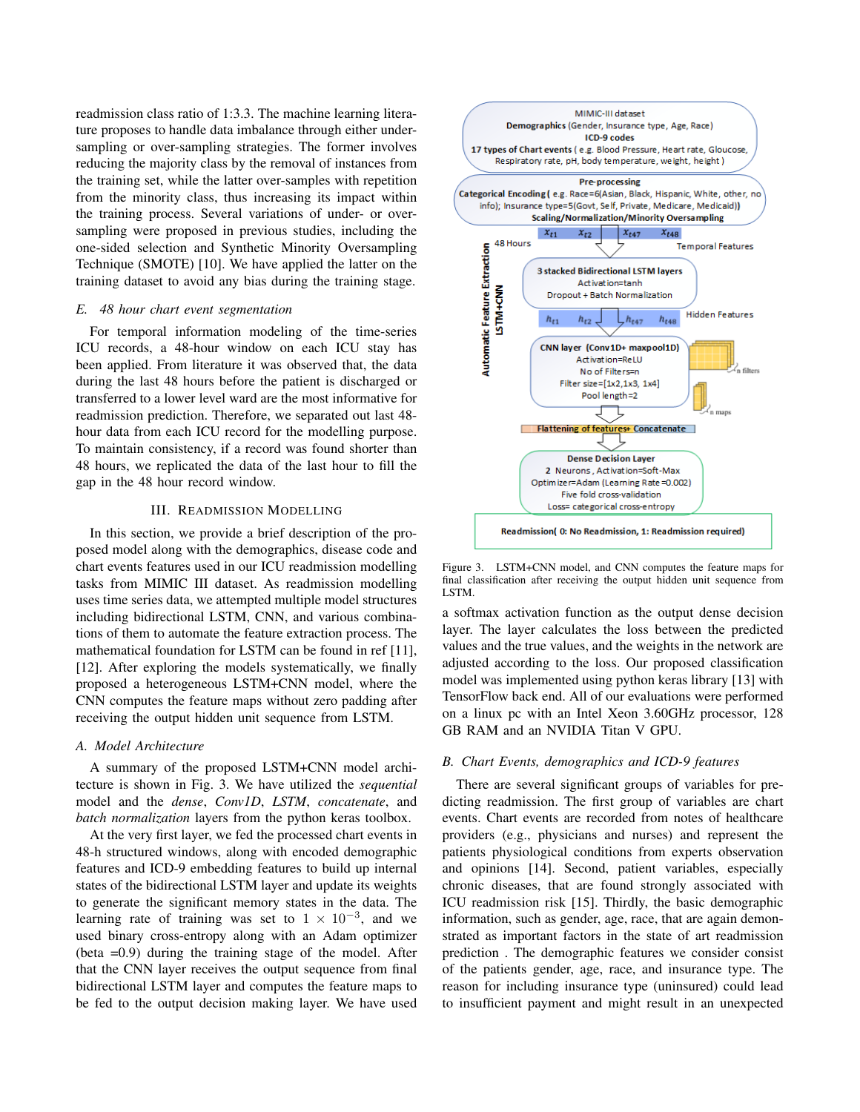readmission class ratio of 1:3.3. The machine learning literature proposes to handle data imbalance through either undersampling or over-sampling strategies. The former involves reducing the majority class by the removal of instances from the training set, while the latter over-samples with repetition from the minority class, thus increasing its impact within the training process. Several variations of under- or oversampling were proposed in previous studies, including the one-sided selection and Synthetic Minority Oversampling Technique (SMOTE) [10]. We have applied the latter on the training dataset to avoid any bias during the training stage.

#### *E. 48 hour chart event segmentation*

For temporal information modeling of the time-series ICU records, a 48-hour window on each ICU stay has been applied. From literature it was observed that, the data during the last 48 hours before the patient is discharged or transferred to a lower level ward are the most informative for readmission prediction. Therefore, we separated out last 48 hour data from each ICU record for the modelling purpose. To maintain consistency, if a record was found shorter than 48 hours, we replicated the data of the last hour to fill the gap in the 48 hour record window.

#### III. READMISSION MODELLING

In this section, we provide a brief description of the proposed model along with the demographics, disease code and chart events features used in our ICU readmission modelling tasks from MIMIC III dataset. As readmission modelling uses time series data, we attempted multiple model structures including bidirectional LSTM, CNN, and various combinations of them to automate the feature extraction process. The mathematical foundation for LSTM can be found in ref [11], [12]. After exploring the models systematically, we finally proposed a heterogeneous LSTM+CNN model, where the CNN computes the feature maps without zero padding after receiving the output hidden unit sequence from LSTM.

#### *A. Model Architecture*

A summary of the proposed LSTM+CNN model architecture is shown in Fig. 3. We have utilized the *sequential* model and the *dense*, *Conv1D*, *LSTM*, *concatenate*, and *batch normalization* layers from the python keras toolbox.

At the very first layer, we fed the processed chart events in 48-h structured windows, along with encoded demographic features and ICD-9 embedding features to build up internal states of the bidirectional LSTM layer and update its weights to generate the significant memory states in the data. The learning rate of training was set to  $1 \times 10^{-3}$ , and we used binary cross-entropy along with an Adam optimizer (beta =0.9) during the training stage of the model. After that the CNN layer receives the output sequence from final bidirectional LSTM layer and computes the feature maps to be fed to the output decision making layer. We have used



Figure 3. LSTM+CNN model, and CNN computes the feature maps for final classification after receiving the output hidden unit sequence from LSTM.

a softmax activation function as the output dense decision layer. The layer calculates the loss between the predicted values and the true values, and the weights in the network are adjusted according to the loss. Our proposed classification model was implemented using python keras library [13] with TensorFlow back end. All of our evaluations were performed on a linux pc with an Intel Xeon 3.60GHz processor, 128 GB RAM and an NVIDIA Titan V GPU.

## *B. Chart Events, demographics and ICD-9 features*

There are several significant groups of variables for predicting readmission. The first group of variables are chart events. Chart events are recorded from notes of healthcare providers (e.g., physicians and nurses) and represent the patients physiological conditions from experts observation and opinions [14]. Second, patient variables, especially chronic diseases, that are found strongly associated with ICU readmission risk [15]. Thirdly, the basic demographic information, such as gender, age, race, that are again demonstrated as important factors in the state of art readmission prediction . The demographic features we consider consist of the patients gender, age, race, and insurance type. The reason for including insurance type (uninsured) could lead to insufficient payment and might result in an unexpected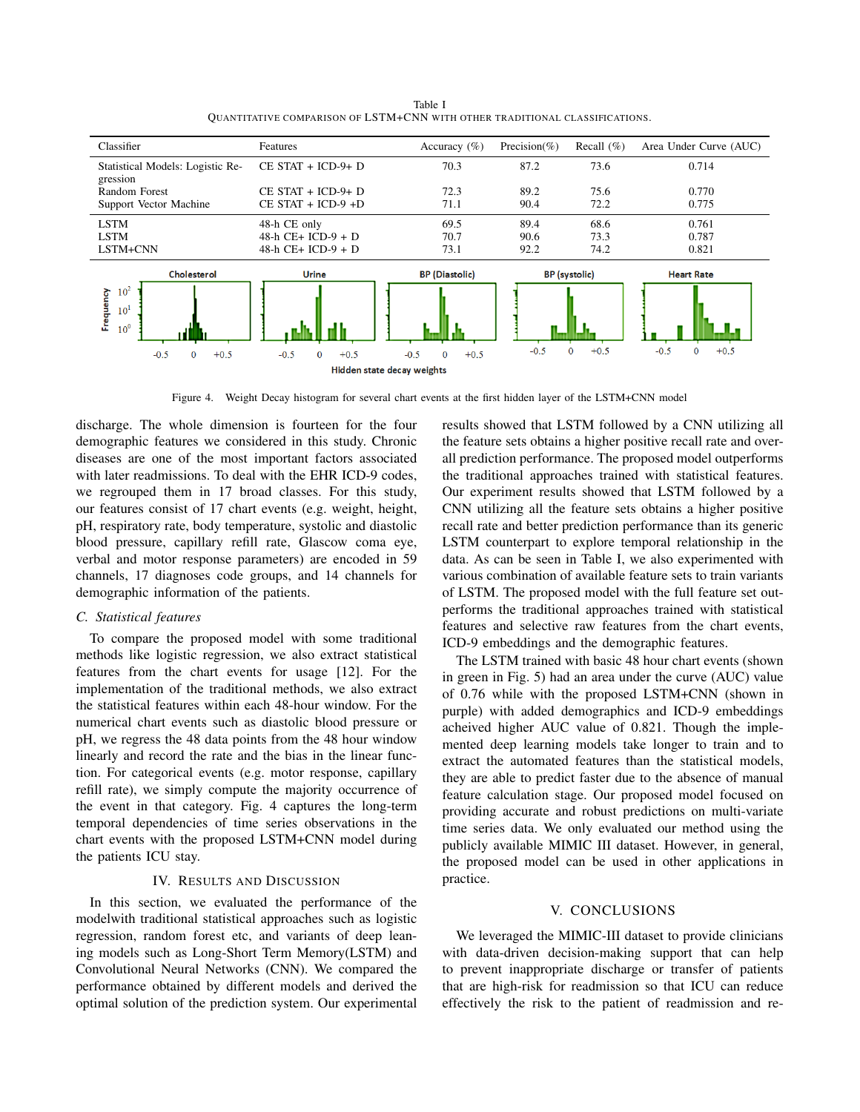| Classifier                       | Features                 | Accuracy $(\% )$             | Precision(%) | Recall $(\% )$         | Area Under Curve (AUC)           |
|----------------------------------|--------------------------|------------------------------|--------------|------------------------|----------------------------------|
| Statistical Models: Logistic Re- | $CE \, STATE + ICD-9+ D$ | 70.3                         | 87.2         | 73.6                   | 0.714                            |
| gression                         |                          |                              |              |                        |                                  |
| Random Forest                    | $CE \, STATE + ICD-9+ D$ | 72.3                         | 89.2         | 75.6                   | 0.770                            |
| Support Vector Machine           | $CE \, STATE + ICD-9 +D$ | 71.1                         | 90.4         | 72.2                   | 0.775                            |
| <b>LSTM</b>                      | 48-h CE only             | 69.5                         | 89.4         | 68.6                   | 0.761                            |
| <b>LSTM</b>                      | 48-h $CE+$ ICD-9 + D     | 70.7                         | 90.6         | 73.3                   | 0.787                            |
| LSTM+CNN                         | 48-h $CE+ ICD-9 + D$     | 73.1                         | 92.2         | 74.2                   | 0.821                            |
| Cholesterol                      | <b>Urine</b>             | <b>BP</b> (Diastolic)        |              | <b>BP</b> (systolic)   | <b>Heart Rate</b>                |
| 10 <sup>2</sup>                  |                          |                              |              |                        |                                  |
| Frequency<br>$10^1$              |                          |                              |              |                        |                                  |
| 10 <sup>0</sup>                  |                          |                              |              |                        |                                  |
|                                  |                          |                              |              |                        |                                  |
| $-0.5$<br>0<br>$+0.5$            | $-0.5$<br>$+0.5$<br>0    | $+0.5$<br>$-0.5$<br>$\Omega$ | $-0.5$       | $\mathbf{0}$<br>$+0.5$ | $-0.5$<br>$\mathbf{0}$<br>$+0.5$ |
| Hidden state decay weights       |                          |                              |              |                        |                                  |

Table I QUANTITATIVE COMPARISON OF LSTM+CNN WITH OTHER TRADITIONAL CLASSIFICATIONS.

Figure 4. Weight Decay histogram for several chart events at the first hidden layer of the LSTM+CNN model

discharge. The whole dimension is fourteen for the four demographic features we considered in this study. Chronic diseases are one of the most important factors associated with later readmissions. To deal with the EHR ICD-9 codes, we regrouped them in 17 broad classes. For this study, our features consist of 17 chart events (e.g. weight, height, pH, respiratory rate, body temperature, systolic and diastolic blood pressure, capillary refill rate, Glascow coma eye, verbal and motor response parameters) are encoded in 59 channels, 17 diagnoses code groups, and 14 channels for demographic information of the patients.

## *C. Statistical features*

To compare the proposed model with some traditional methods like logistic regression, we also extract statistical features from the chart events for usage [12]. For the implementation of the traditional methods, we also extract the statistical features within each 48-hour window. For the numerical chart events such as diastolic blood pressure or pH, we regress the 48 data points from the 48 hour window linearly and record the rate and the bias in the linear function. For categorical events (e.g. motor response, capillary refill rate), we simply compute the majority occurrence of the event in that category. Fig. 4 captures the long-term temporal dependencies of time series observations in the chart events with the proposed LSTM+CNN model during the patients ICU stay.

## IV. RESULTS AND DISCUSSION

In this section, we evaluated the performance of the modelwith traditional statistical approaches such as logistic regression, random forest etc, and variants of deep leaning models such as Long-Short Term Memory(LSTM) and Convolutional Neural Networks (CNN). We compared the performance obtained by different models and derived the optimal solution of the prediction system. Our experimental results showed that LSTM followed by a CNN utilizing all the feature sets obtains a higher positive recall rate and overall prediction performance. The proposed model outperforms the traditional approaches trained with statistical features. Our experiment results showed that LSTM followed by a CNN utilizing all the feature sets obtains a higher positive recall rate and better prediction performance than its generic LSTM counterpart to explore temporal relationship in the data. As can be seen in Table I, we also experimented with various combination of available feature sets to train variants of LSTM. The proposed model with the full feature set outperforms the traditional approaches trained with statistical features and selective raw features from the chart events, ICD-9 embeddings and the demographic features.

The LSTM trained with basic 48 hour chart events (shown in green in Fig. 5) had an area under the curve (AUC) value of 0.76 while with the proposed LSTM+CNN (shown in purple) with added demographics and ICD-9 embeddings acheived higher AUC value of 0.821. Though the implemented deep learning models take longer to train and to extract the automated features than the statistical models, they are able to predict faster due to the absence of manual feature calculation stage. Our proposed model focused on providing accurate and robust predictions on multi-variate time series data. We only evaluated our method using the publicly available MIMIC III dataset. However, in general, the proposed model can be used in other applications in practice.

#### V. CONCLUSIONS

We leveraged the MIMIC-III dataset to provide clinicians with data-driven decision-making support that can help to prevent inappropriate discharge or transfer of patients that are high-risk for readmission so that ICU can reduce effectively the risk to the patient of readmission and re-